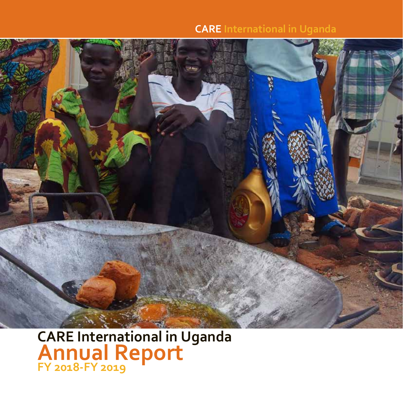#### **CARE International in Uganda CARE International in Uganda CARE International in Uganda CARE International in Uganda**



**CARE International in Uganda Annual Report FY 2018-FY 2019 CARE International in Uganda Annual Report FY 2018-FY 2019 CARE International in Uganda Annual Report FY 2018-FY 2019 CARE International in Uganda Annual Report FY 2018-FY 2019 CARE International in Uganda Annual Report FY 2018-FY 2019 CARE International in Uganda Annual Report**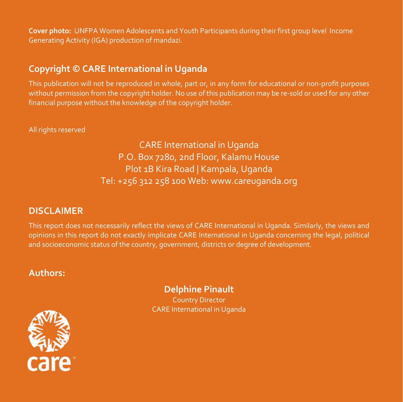**Cover photo:** UNFPA Women Adolescents and Youth Participants during their first group level Income Generating Activity (IGA) production of mandazi.

## **Copyright © CARE International in Uganda**

This publication will not be reproduced in whole, part or, in any form for educational or non-profit purposes without permission from the copyright holder. No use of this publication may be re-sold or used for any other financial purpose without the knowledge of the copyright holder.

All rights reserved

CARE International in Uganda P.O. Box 7280, 2nd Floor, Kalamu House Plot 1B Kira Road | Kampala, Uganda Tel: +256 312 258 100 Web: www.careuganda.org

## **DISCLAIMER**

This report does not necessarily reflect the views of CARE International in Uganda. Similarly, the views and opinions in this report do not exactly implicate CARE International in Uganda concerning the legal, political and socioeconomic status of the country, government, districts or degree of development.

## **Authors:**

#### **Delphine Pinault** Country Director

CARE International in Uganda

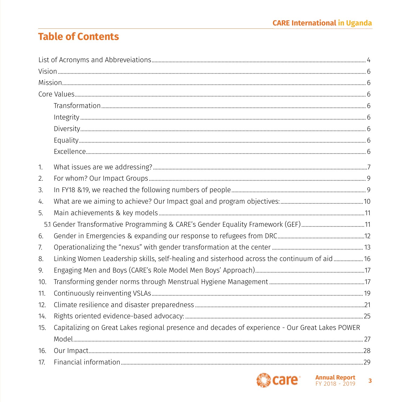## **Table of Contents**

| 1.  |                                                                                                 |  |
|-----|-------------------------------------------------------------------------------------------------|--|
| 2.  |                                                                                                 |  |
| 3.  |                                                                                                 |  |
| 4.  |                                                                                                 |  |
| 5.  |                                                                                                 |  |
|     |                                                                                                 |  |
| 6.  |                                                                                                 |  |
| 7.  |                                                                                                 |  |
| 8.  | Linking Women Leadership skills, self-healing and sisterhood across the continuum of aid 16     |  |
| 9.  |                                                                                                 |  |
| 10. |                                                                                                 |  |
| 11. |                                                                                                 |  |
| 12. |                                                                                                 |  |
| 14. |                                                                                                 |  |
| 15. | Capitalizing on Great Lakes regional presence and decades of experience - Our Great Lakes POWER |  |
|     |                                                                                                 |  |
| 16. |                                                                                                 |  |
| 17. |                                                                                                 |  |

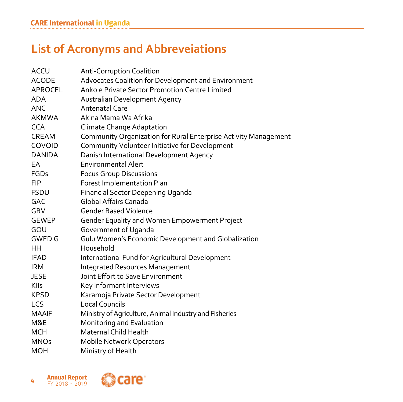# **List of Acronyms and Abbreveiations**

| <b>ACCU</b>    | <b>Anti-Corruption Coalition</b>                                |
|----------------|-----------------------------------------------------------------|
| <b>ACODE</b>   | Advocates Coalition for Development and Environment             |
| <b>APROCEL</b> | Ankole Private Sector Promotion Centre Limited                  |
| <b>ADA</b>     | Australian Development Agency                                   |
| ANC            | <b>Antenatal Care</b>                                           |
| <b>AKMWA</b>   | Akina Mama Wa Afrika                                            |
| <b>CCA</b>     | Climate Change Adaptation                                       |
| CREAM          | Community Organization for Rural Enterprise Activity Management |
| COVOID         | Community Volunteer Initiative for Development                  |
| <b>DANIDA</b>  | Danish International Development Agency                         |
| EA             | <b>Environmental Alert</b>                                      |
| <b>FGDs</b>    | <b>Focus Group Discussions</b>                                  |
| FIP            | Forest Implementation Plan                                      |
| <b>FSDU</b>    | <b>Financial Sector Deepening Uganda</b>                        |
| <b>GAC</b>     | Global Affairs Canada                                           |
| GBV            | <b>Gender Based Violence</b>                                    |
| <b>GEWEP</b>   | Gender Equality and Women Empowerment Project                   |
| GOU            | Government of Uganda                                            |
| <b>GWED G</b>  | Gulu Women's Economic Development and Globalization             |
| HН             | Household                                                       |
| <b>IFAD</b>    | International Fund for Agricultural Development                 |
| <b>IRM</b>     | <b>Integrated Resources Management</b>                          |
| <b>JESE</b>    | Joint Effort to Save Environment                                |
| Klls           | Key Informant Interviews                                        |
| <b>KPSD</b>    | Karamoja Private Sector Development                             |
| LCS            | <b>Local Councils</b>                                           |
| <b>MAAIF</b>   | Ministry of Agriculture, Animal Industry and Fisheries          |
| M&E            | Monitoring and Evaluation                                       |
| MCH            | Maternal Child Health                                           |
| <b>MNOs</b>    | <b>Mobile Network Operators</b>                                 |
| MOH            | Ministry of Health                                              |

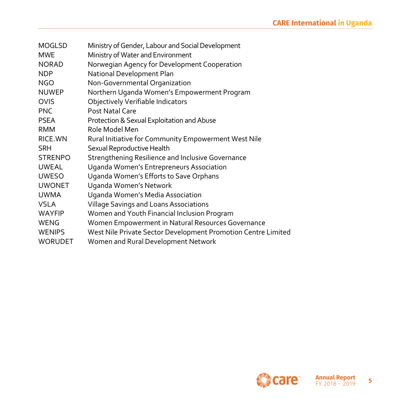| <b>MOGLSD</b>  | Ministry of Gender, Labour and Social Development             |
|----------------|---------------------------------------------------------------|
| <b>MWE</b>     | Ministry of Water and Environment                             |
| <b>NORAD</b>   | Norwegian Agency for Development Cooperation                  |
| <b>NDP</b>     | National Development Plan                                     |
| <b>NGO</b>     | Non-Governmental Organization                                 |
| <b>NUWEP</b>   | Northern Uganda Women's Empowerment Program                   |
| <b>OVIS</b>    | Objectively Verifiable Indicators                             |
| <b>PNC</b>     | Post Natal Care                                               |
| <b>PSEA</b>    | Protection & Sexual Exploitation and Abuse                    |
| RMM            | Role Model Men                                                |
| RICE.WN        | Rural Initiative for Community Empowerment West Nile          |
| <b>SRH</b>     | Sexual Reproductive Health                                    |
| <b>STRENPO</b> | <b>Strengthening Resilience and Inclusive Governance</b>      |
| <b>UWEAL</b>   | Uganda Women's Entrepreneurs Association                      |
| <b>UWESO</b>   | Uganda Women's Efforts to Save Orphans                        |
| <b>UWONET</b>  | Uganda Women's Network                                        |
| <b>UWMA</b>    | Uganda Women's Media Association                              |
| <b>VSLA</b>    | <b>Village Savings and Loans Associations</b>                 |
| <b>WAYFIP</b>  | Women and Youth Financial Inclusion Program                   |
| <b>WENG</b>    | Women Empowerment in Natural Resources Governance             |
| <b>WENIPS</b>  | West Nile Private Sector Development Promotion Centre Limited |
| <b>WORUDET</b> | Women and Rural Development Network                           |

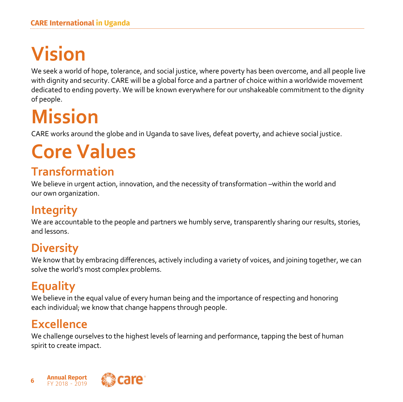# **Vision**

We seek a world of hope, tolerance, and social justice, where poverty has been overcome, and all people live with dignity and security. CARE will be a global force and a partner of choice within a worldwide movement dedicated to ending poverty. We will be known everywhere for our unshakeable commitment to the dignity of people.

# **Mission**

CARE works around the globe and in Uganda to save lives, defeat poverty, and achieve social justice.

# **Core Values**

# **Transformation**

We believe in urgent action, innovation, and the necessity of transformation –within the world and our own organization.

# **Integrity**

We are accountable to the people and partners we humbly serve, transparently sharing our results, stories, and lessons.

# **Diversity**

We know that by embracing differences, actively including a variety of voices, and joining together, we can solve the world's most complex problems.

# **Equality**

We believe in the equal value of every human being and the importance of respecting and honoring each individual; we know that change happens through people.

# **Excellence**

We challenge ourselves to the highest levels of learning and performance, tapping the best of human spirit to create impact.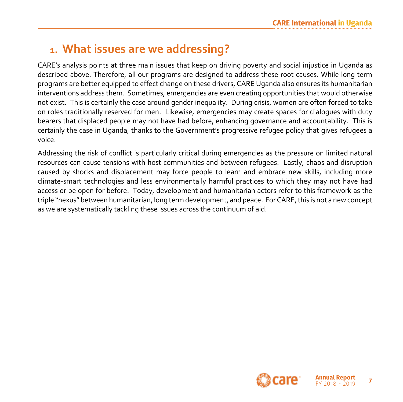# **1. What issues are we addressing?**

CARE's analysis points at three main issues that keep on driving poverty and social injustice in Uganda as described above. Therefore, all our programs are designed to address these root causes. While long term programs are better equipped to effect change on these drivers, CARE Uganda also ensures its humanitarian interventions address them. Sometimes, emergencies are even creating opportunities that would otherwise not exist. This is certainly the case around gender inequality. During crisis, women are often forced to take on roles traditionally reserved for men. Likewise, emergencies may create spaces for dialogues with duty bearers that displaced people may not have had before, enhancing governance and accountability. This is certainly the case in Uganda, thanks to the Government's progressive refugee policy that gives refugees a voice.

Addressing the risk of conflict is particularly critical during emergencies as the pressure on limited natural resources can cause tensions with host communities and between refugees. Lastly, chaos and disruption caused by shocks and displacement may force people to learn and embrace new skills, including more climate-smart technologies and less environmentally harmful practices to which they may not have had access or be open for before. Today, development and humanitarian actors refer to this framework as the triple "nexus" between humanitarian, long term development, and peace. For CARE, this is not a new concept as we are systematically tackling these issues across the continuum of aid.

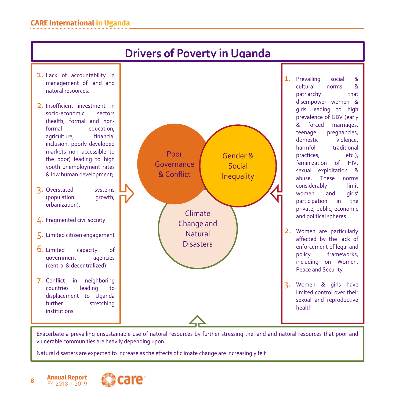

Exacerbate a prevailing unsustainable use of natural resources by further stressing the land and natural resources that poor and vulnerable communities are heavily depending upon

Natural disasters are expected to increase as the effects of climate change are increasingly felt

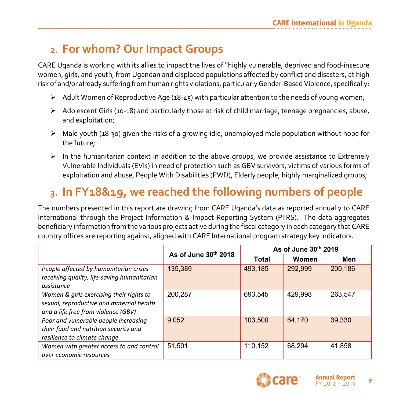# **2. For whom? Our Impact Groups**

CARE Uganda is working with its allies to impact the lives of "highly vulnerable, deprived and food-insecure women, girls, and youth, from Ugandan and displaced populations affected by conflict and disasters, at high risk of and/or already suffering from human rights violations, particularly Gender-Based Violence, specifically:

- $\triangleright$  Adult Women of Reproductive Age (18-45) with particular attention to the needs of young women;
- $\triangleright$  Adolescent Girls (10-18) and particularly those at risk of child marriage, teenage pregnancies, abuse, and exploitation;
- $\triangleright$  Male youth (18-30) given the risks of a growing idle, unemployed male population without hope for the future;
- $\triangleright$  In the humanitarian context in addition to the above groups, we provide assistance to Extremely Vulnerable Individuals (EVIs) in need of protection such as GBV survivors, victims of various forms of exploitation and abuse, People With Disabilities (PWD), Elderly people, highly marginalized groups;

# **3. In FY18&19, we reached the following numbers of people**

The numbers presented in this report are drawing from CARE Uganda's data as reported annually to CARE International through the Project Information & Impact Reporting System (PIIRS). The data aggregates beneficiary information from the various projects active during the fiscal category in each category that CARE country offices are reporting against, aligned with CARE International program strategy key indicators.

|                                                                                                                             | As of June 30th 2018 | As of June 30th 2019 |         |         |  |
|-----------------------------------------------------------------------------------------------------------------------------|----------------------|----------------------|---------|---------|--|
|                                                                                                                             |                      | Total                | Women   | Men     |  |
| People affected by humanitarian crises                                                                                      | 135,389              | 493,185              | 292,999 | 200,186 |  |
| receiving quality, life-saving humanitarian<br>assistance                                                                   |                      |                      |         |         |  |
| Women & girls exercising their rights to<br>sexual, reproductive and maternal health<br>and a life free from violence (GBV) | 200,287              | 693,545              | 429,998 | 263,547 |  |
| Poor and vulnerable people increasing<br>their food and nutrition security and<br>resilience to climate change              | 9,052                | 103,500              | 64,170  | 39,330  |  |
| Women with greater access to and control<br>over economic resources                                                         | 51,501               | 110,152              | 68,294  | 41,858  |  |

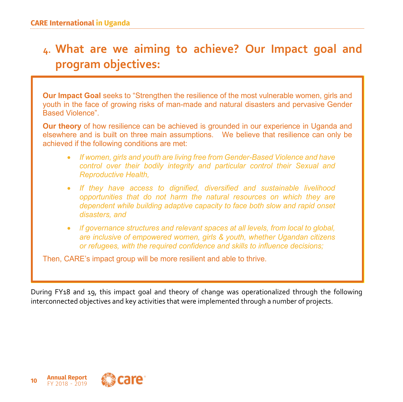# **4. What are we aiming to achieve? Our Impact goal and program objectives:**

**Our Impact Goal** seeks to "Strengthen the resilience of the most vulnerable women, girls and youth in the face of growing risks of man-made and natural disasters and pervasive Gender Based Violence".

**Our theory** of how resilience can be achieved is grounded in our experience in Uganda and elsewhere and is built on three main assumptions. We believe that resilience can only be achieved if the following conditions are met:

- *If women, girls and youth are living free from Gender-Based Violence and have control over their bodily integrity and particular control their Sexual and Reproductive Health,*
- *If they have access to dignified, diversified and sustainable livelihood opportunities that do not harm the natural resources on which they are dependent while building adaptive capacity to face both slow and rapid onset disasters, and*
- *If governance structures and relevant spaces at all levels, from local to global, are inclusive of empowered women, girls & youth, whether Ugandan citizens or refugees, with the required confidence and skills to influence decisions;*

Then, CARE's impact group will be more resilient and able to thrive.

During FY18 and 19, this impact goal and theory of change was operationalized through the following interconnected objectives and key activities that were implemented through a number of projects.

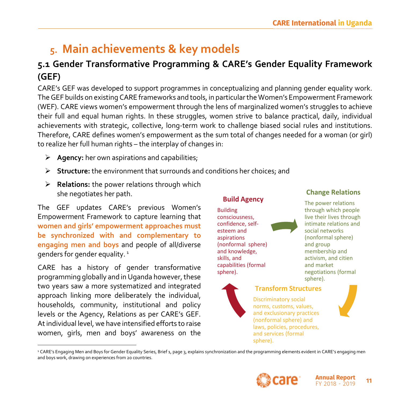# **5. Main achievements & key models**

## **5.1 Gender Transformative Programming & CARE's Gender Equality Framework (GEF)**

CARE's GEF was developed to support programmes in conceptualizing and planning gender equality work. The GEF builds on existing CARE frameworks and tools, in particular the Women's Empowerment Framework (WEF). CARE views women's empowerment through the lens of marginalized women's struggles to achieve their full and equal human rights. In these struggles, women strive to balance practical, daily, individual achievements with strategic, collective, long-term work to challenge biased social rules and institutions. Therefore, CARE defines women's empowerment as the sum total of changes needed for a woman (or girl) to realize her full human rights – the interplay of changes in:

- Ø **Agency:** her own aspirations and capabilities;
- Ø **Structure:** the environment that surrounds and conditions her choices; and
- Ø **Relations:** the power relations through which she negotiates her path.

The GEF updates CARE's previous Women's Empowerment Framework to capture learning that **women and girls' empowerment approaches must be synchronized with and complementary to engaging men and boys** and people of all/diverse genders for gender equality.<sup>1</sup>

CARE has a history of gender transformative programming globally and in Uganda however, these two years saw a more systematized and integrated approach linking more deliberately the individual, households, community, institutional and policy levels or the Agency, Relations as per CARE's GEF. At individual level, we have intensified efforts to raise women, girls, men and boys' awareness on the

#### **Build Agency**

Building consciousness, confidence, selfesteem and aspirations (nonformal sphere) and knowledge, skills, and capabilities (formal sphere).



#### **Change Relations**

The power relations through which people live their lives through intimate relations and social networks (nonformal sphere) and group membership and activism, and citien and market negotiations (formal sphere).



#### **Transform Structures**

Discriminatory social norms, customs, values, and exclusionary practices (nonformal sphere) and laws, policies, procedures, and services (formal sphere).



<sup>2</sup> CARE's Engaging Men and Boys for Gender Equality Series, Brief 1, page 3, explains synchronization and the programming elements evident in CARE's engaging men and boys work, drawing on experiences from 20 countries.



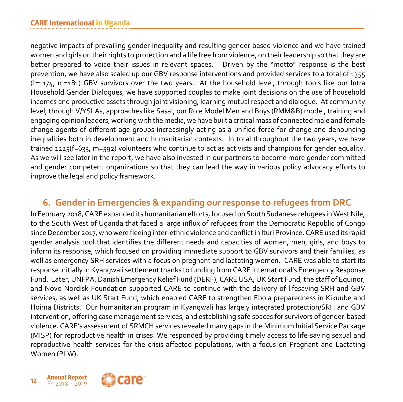negative impacts of prevailing gender inequality and resulting gender based violence and we have trained women and girls on their rights to protection and a life free from violence, on their leadership so that they are better prepared to voice their issues in relevant spaces. Driven by the "motto" response is the best prevention, we have also scaled up our GBV response interventions and provided services to a total of 1355 (f=1174, m=181) GBV survivors over the two years. At the household level, through tools like our Intra Household Gender Dialogues, we have supported couples to make joint decisions on the use of household incomes and productive assets through joint visioning, learning mutual respect and dialogue. At community level, through V/YSLAs, approaches like Sasa!, our Role Model Men and Boys (RMM&B) model, training and engaging opinion leaders, working with the media, we have built a critical mass of connected male and female change agents of different age groups increasingly acting as a unified force for change and denouncing inequalities both in development and humanitarian contexts. In total throughout the two years, we have trained 1225(f=633, m=592) volunteers who continue to act as activists and champions for gender equality. As we will see later in the report, we have also invested in our partners to become more gender committed and gender competent organizations so that they can lead the way in various policy advocacy efforts to improve the legal and policy framework.

## **6. Gender in Emergencies & expanding our response to refugees from DRC**

In February 2018, CARE expanded its humanitarian efforts, focused on South Sudanese refugees in West Nile, to the South West of Uganda that faced a large influx of refugees from the Democratic Republic of Congo since December 2017, who were fleeing inter-ethnic violence and conflict in Ituri Province. CARE used its rapid gender analysis tool that identifies the different needs and capacities of women, men, girls, and boys to inform its response, which focused on providing immediate support to GBV survivors and their families, as well as emergency SRH services with a focus on pregnant and lactating women. CARE was able to start its response initially in Kyangwali settlement thanks to funding from CARE International's Emergency Response Fund. Later, UNFPA, Danish Emergency Relief Fund (DERF), CARE USA, UK Start Fund, the staff of Equinor, and Novo Nordisk Foundation supported CARE to continue with the delivery of lifesaving SRH and GBV services, as well as UK Start Fund, which enabled CARE to strengthen Ebola preparedness in Kikuube and Hoima Districts. Our humanitarian program in Kyangwali has largely integrated protection/SRH and GBV intervention, offering case management services, and establishing safe spaces for survivors of gender-based violence. CARE's assessment of SRMCH services revealed many gaps in the Minimum Initial Service Package (MISP) for reproductive health in crises. We responded by providing timely access to life-saving sexual and reproductive health services for the crisis-affected populations, with a focus on Pregnant and Lactating Women (PLW).

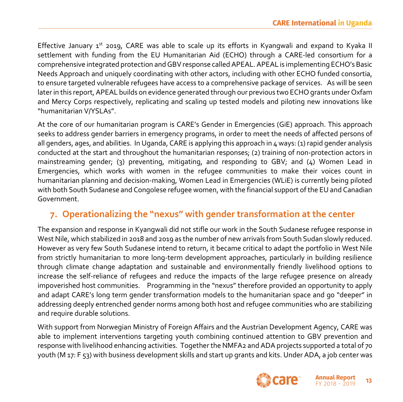Effective January  $1^{st}$  2019, CARE was able to scale up its efforts in Kyangwali and expand to Kyaka II settlement with funding from the EU Humanitarian Aid (ECHO) through a CARE-led consortium for a comprehensive integrated protection and GBV response called APEAL. APEAL is implementing ECHO's Basic Needs Approach and uniquely coordinating with other actors, including with other ECHO funded consortia, to ensure targeted vulnerable refugees have access to a comprehensive package of services. As will be seen later in this report, APEAL builds on evidence generated through our previous two ECHO grants under Oxfam and Mercy Corps respectively, replicating and scaling up tested models and piloting new innovations like "humanitarian V/YSLAs".

At the core of our humanitarian program is CARE's Gender in Emergencies (GiE) approach. This approach seeks to address gender barriers in emergency programs, in order to meet the needs of affected persons of all genders, ages, and abilities. In Uganda, CARE is applying this approach in 4 ways: (1) rapid gender analysis conducted at the start and throughout the humanitarian responses; (2) training of non-protection actors in mainstreaming gender; (3) preventing, mitigating, and responding to GBV; and  $(4)$  Women Lead in Emergencies, which works with women in the refugee communities to make their voices count in humanitarian planning and decision-making, Women Lead in Emergencies (WLiE) is currently being piloted with both South Sudanese and Congolese refugee women, with the financial support of the EU and Canadian Government.

## **7. Operationalizing the "nexus" with gender transformation at the center**

The expansion and response in Kyangwali did not stifle our work in the South Sudanese refugee response in West Nile, which stabilized in 2018 and 2019 as the number of new arrivals from South Sudan slowly reduced. However as very few South Sudanese intend to return, it became critical to adapt the portfolio in West Nile from strictly humanitarian to more long-term development approaches, particularly in building resilience through climate change adaptation and sustainable and environmentally friendly livelihood options to increase the self-reliance of refugees and reduce the impacts of the large refugee presence on already impoverished host communities. Programming in the "nexus" therefore provided an opportunity to apply and adapt CARE's long term gender transformation models to the humanitarian space and go "deeper" in addressing deeply entrenched gender norms among both host and refugee communities who are stabilizing and require durable solutions.

With support from Norwegian Ministry of Foreign Affairs and the Austrian Development Agency, CARE was able to implement interventions targeting youth combining continued attention to GBV prevention and response with livelihood enhancing activities. Together the NMFA2 and ADA projects supported a total of 70 youth (M 17: F 53) with business development skills and start up grants and kits. Under ADA, a job center was

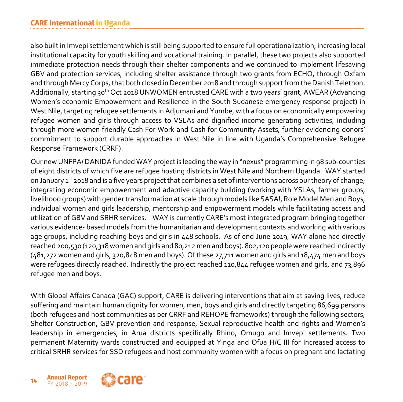also built in Imvepi settlement which is still being supported to ensure full operationalization, increasing local institutional capacity for youth skilling and vocational training. In parallel, these two projects also supported immediate protection needs through their shelter components and we continued to implement lifesaving GBV and protection services, including shelter assistance through two grants from ECHO, through Oxfam and through Mercy Corps, that both closed in December 2018 and through support from the Danish Telethon. Additionally, starting 30<sup>th</sup> Oct 2018 UNWOMEN entrusted CARE with a two years' grant, AWEAR (Advancing Women's economic Empowerment and Resilience in the South Sudanese emergency response project) in West Nile, targeting refugee settlements in Adjumani and Yumbe, with a focus on economically empowering refugee women and girls through access to VSLAs and dignified income generating activities, including through more women friendly Cash For Work and Cash for Community Assets, further evidencing donors' commitment to support durable approaches in West Nile in line with Uganda's Comprehensive Refugee Response Framework (CRRF).

Our new UNFPA/ DANIDA funded WAY project is leading the way in "nexus" programming in 98 sub-counties of eight districts of which five are refugee hosting districts in West Nile and Northern Uganda. WAY started on January 1<sup>st</sup> 2018 and is a five years project that combines a set of interventions across our theory of change; integrating economic empowerment and adaptive capacity building (working with YSLAs, farmer groups, livelihood groups) with gender transformation at scale through models like SASA!, Role Model Men and Boys, individual women and girls leadership, mentorship and empowerment models while facilitating access and utilization of GBV and SRHR services. WAY is currently CARE's most integrated program bringing together various evidence- based models from the humanitarian and development contexts and working with various age groups, including reaching boys and girls in 448 schools. As of end June 2019, WAY alone had directly reached 200,530 (120,318 women and girls and 80,212 men and boys). 802,120 people were reached indirectly (481,272 women and girls, 320,848 men and boys). Of these 27,711 women and girls and 18,474 men and boys were refugees directly reached. Indirectly the project reached 110,844 refugee women and girls, and 73,896 refugee men and boys.

With Global Affairs Canada (GAC) support, CARE is delivering interventions that aim at saving lives, reduce suffering and maintain human dignity for women, men, boys and girls and directly targeting 86,699 persons (both refugees and host communities as per CRRF and REHOPE frameworks) through the following sectors; Shelter Construction, GBV prevention and response, Sexual reproductive health and rights and Women's leadership in emergencies, in Arua districts specifically Rhino, Omugo and Imvepi settlements. Two permanent Maternity wards constructed and equipped at Yinga and Ofua H/C III for Increased access to critical SRHR services for SSD refugees and host community women with a focus on pregnant and lactating

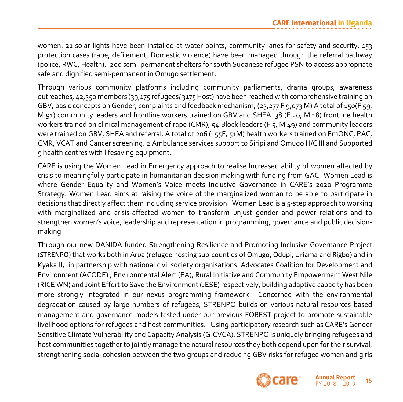women. 21 solar lights have been installed at water points, community lanes for safety and security. 153 protection cases (rape, defilement, Domestic violence) have been managed through the referral pathway (police, RWC, Health). 200 semi-permanent shelters for south Sudanese refugee PSN to access appropriate safe and dignified semi-permanent in Omugo settlement.

Through various community platforms including community parliaments, drama groups, awareness outreaches, 42,350 members (39,175 refugees/ 3175 Host) have been reached with comprehensive training on GBV, basic concepts on Gender, complaints and feedback mechanism, (23,277 F 9,073 M) A total of 150(F 59, M 91) community leaders and frontline workers trained on GBV and SHEA. 38 (F 20, M 18) frontline health workers trained on clinical management of rape (CMR), 54 Block leaders (F 5, M 49) and community leaders were trained on GBV, SHEA and referral. A total of 206 (155F, 51M) health workers trained on EmONC, PAC, CMR, VCAT and Cancer screening. 2 Ambulance services support to Siripi and Omugo H/C III and Supported 9 health centres with lifesaving equipment.

CARE is using the Women Lead in Emergency approach to realise Increased ability of women affected by crisis to meaningfully participate in humanitarian decision making with funding from GAC. Women Lead is where Gender Equality and Women's Voice meets Inclusive Governance in CARE's 2020 Programme Strategy. Women Lead aims at raising the voice of the marginalized woman to be able to participate in decisions that directly affect them including service provision. Women Lead is a 5-step approach to working with marginalized and crisis-affected women to transform unjust gender and power relations and to strengthen women's voice, leadership and representation in programming, governance and public decisionmaking

Through our new DANIDA funded Strengthening Resilience and Promoting Inclusive Governance Project (STRENPO) that works both in Arua (refugee hosting sub-counties of Omugo, Odupi, Uriama and Rigbo) and in Kyaka II, in partnership with national civil society organisations Advocates Coalition for Development and Environment (ACODE) , Environmental Alert (EA), Rural Initiative and Community Empowerment West Nile (RICE WN) and Joint Effort to Save the Environment (JESE) respectively, building adaptive capacity has been more strongly integrated in our nexus programming framework. Concerned with the environmental degradation caused by large numbers of refugees, STRENPO builds on various natural resources based management and governance models tested under our previous FOREST project to promote sustainable livelihood options for refugees and host communities. Using participatory research such as CARE's Gender Sensitive Climate Vulnerability and Capacity Analysis (G-CVCA), STRENPO is uniquely bringing refugees and host communities together to jointly manage the natural resources they both depend upon for their survival, strengthening social cohesion between the two groups and reducing GBV risks for refugee women and girls

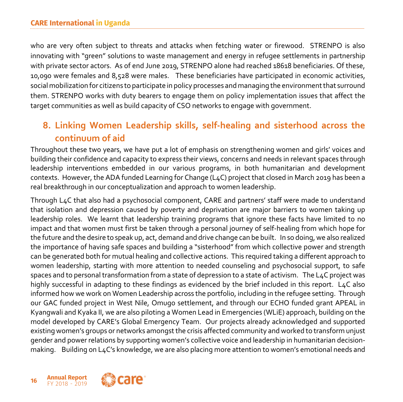who are very often subject to threats and attacks when fetching water or firewood. STRENPO is also innovating with "green" solutions to waste management and energy in refugee settlements in partnership with private sector actors. As of end June 2019, STRENPO alone had reached 18618 beneficiaries. Of these, 10,090 were females and 8,528 were males. These beneficiaries have participated in economic activities, social mobilization for citizens to participate in policy processes and managing the environment that surround them. STRENPO works with duty bearers to engage them on policy implementation issues that affect the target communities as well as build capacity of CSO networks to engage with government.

## **8. Linking Women Leadership skills, self-healing and sisterhood across the continuum of aid**

Throughout these two years, we have put a lot of emphasis on strengthening women and girls' voices and building their confidence and capacity to express their views, concerns and needs in relevant spaces through leadership interventions embedded in our various programs, in both humanitarian and development contexts. However, the ADA funded Learning for Change (L4C) project that closed in March 2019 has been a real breakthrough in our conceptualization and approach to women leadership.

Through L4C that also had a psychosocial component, CARE and partners' staff were made to understand that isolation and depression caused by poverty and deprivation are major barriers to women taking up leadership roles. We learnt that leadership training programs that ignore these facts have limited to no impact and that women must first be taken through a personal journey of self-healing from which hope for the future and the desire to speak up, act, demand and drive change can be built. In so doing, we also realized the importance of having safe spaces and building a "sisterhood" from which collective power and strength can be generated both for mutual healing and collective actions. This required taking a different approach to women leadership, starting with more attention to needed counseling and psychosocial support, to safe spaces and to personal transformation from a state of depression to a state of activism. The L4C project was highly successful in adapting to these findings as evidenced by the brief included in this report. L4C also informed how we work on Women Leadership across the portfolio, including in the refugee setting. Through our GAC funded project in West Nile, Omugo settlement, and through our ECHO funded grant APEAL in Kyangwali and Kyaka II, we are also piloting a Women Lead in Emergencies (WLiE) approach, building on the model developed by CARE's Global Emergency Team. Our projects already acknowledged and supported existing women's groups or networks amongst the crisis affected community and worked to transform unjust gender and power relations by supporting women's collective voice and leadership in humanitarian decisionmaking. Building on L4C's knowledge, we are also placing more attention to women's emotional needs and

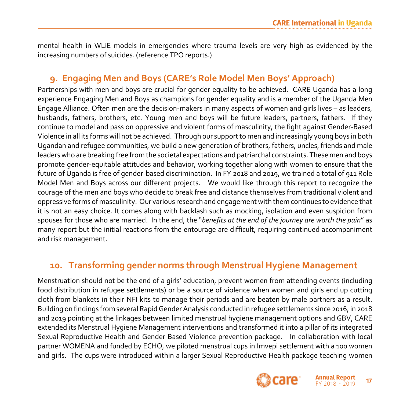mental health in WLiE models in emergencies where trauma levels are very high as evidenced by the increasing numbers of suicides. (reference TPO reports.)

## **9. Engaging Men and Boys (CARE's Role Model Men Boys' Approach)**

Partnerships with men and boys are crucial for gender equality to be achieved. CARE Uganda has a long experience Engaging Men and Boys as champions for gender equality and is a member of the Uganda Men Engage Alliance. Often men are the decision-makers in many aspects of women and girls lives – as leaders, husbands, fathers, brothers, etc. Young men and boys will be future leaders, partners, fathers. If they continue to model and pass on oppressive and violent forms of masculinity, the fight against Gender-Based Violence in all its forms will not be achieved. Through our support to men and increasingly young boys in both Ugandan and refugee communities, we build a new generation of brothers, fathers, uncles, friends and male leaders who are breaking free from the societal expectations and patriarchal constraints. These men and boys promote gender-equitable attitudes and behavior, working together along with women to ensure that the future of Uganda is free of gender-based discrimination. In FY 2018 and 2019, we trained a total of 911 Role Model Men and Boys across our different projects. We would like through this report to recognize the courage of the men and boys who decide to break free and distance themselves from traditional violent and oppressive forms of masculinity. Our various research and engagement with them continues to evidence that it is not an easy choice. It comes along with backlash such as mocking, isolation and even suspicion from spouses for those who are married. In the end, the "*benefits at the end of the journey are worth the pain*" as many report but the initial reactions from the entourage are difficult, requiring continued accompaniment and risk management.

## **10. Transforming gender norms through Menstrual Hygiene Management**

Menstruation should not be the end of a girls' education, prevent women from attending events (including food distribution in refugee settlements) or be a source of violence when women and girls end up cutting cloth from blankets in their NFI kits to manage their periods and are beaten by male partners as a result. Building on findings from several Rapid Gender Analysis conducted in refugee settlements since 2016, in 2018 and 2019 pointing at the linkages between limited menstrual hygiene management options and GBV, CARE extended its Menstrual Hygiene Management interventions and transformed it into a pillar of its integrated Sexual Reproductive Health and Gender Based Violence prevention package. In collaboration with local partner WOMENA and funded by ECHO, we piloted menstrual cups in Imvepi settlement with a 100 women and girls. The cups were introduced within a larger Sexual Reproductive Health package teaching women

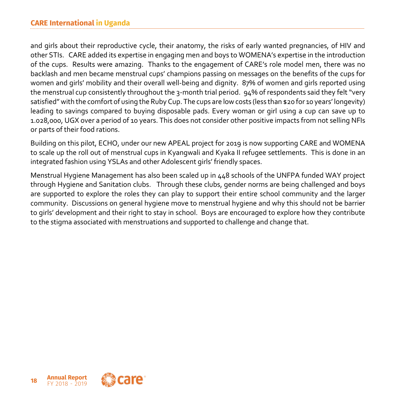and girls about their reproductive cycle, their anatomy, the risks of early wanted pregnancies, of HIV and other STIs. CARE added its expertise in engaging men and boys to WOMENA's expertise in the introduction of the cups. Results were amazing. Thanks to the engagement of CARE's role model men, there was no backlash and men became menstrual cups' champions passing on messages on the benefits of the cups for women and girls' mobility and their overall well-being and dignity. 87% of women and girls reported using the menstrual cup consistently throughout the 3-month trial period. 94% of respondents said they felt "very satisfied" with the comfort of using the Ruby Cup. The cups are low costs (less than \$20 for 10 years' longevity) leading to savings compared to buying disposable pads. Every woman or girl using a cup can save up to 1.028,000, UGX over a period of 10 years. This does not consider other positive impacts from not selling NFIs or parts of their food rations.

Building on this pilot, ECHO, under our new APEAL project for 2019 is now supporting CARE and WOMENA to scale up the roll out of menstrual cups in Kyangwali and Kyaka II refugee settlements. This is done in an integrated fashion using YSLAs and other Adolescent girls' friendly spaces.

Menstrual Hygiene Management has also been scaled up in 448 schools of the UNFPA funded WAY project through Hygiene and Sanitation clubs. Through these clubs, gender norms are being challenged and boys are supported to explore the roles they can play to support their entire school community and the larger community. Discussions on general hygiene move to menstrual hygiene and why this should not be barrier to girls' development and their right to stay in school. Boys are encouraged to explore how they contribute to the stigma associated with menstruations and supported to challenge and change that.

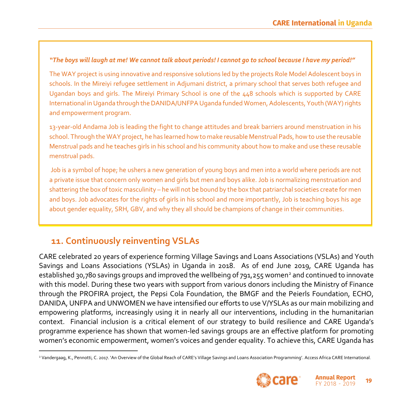#### *"The boys will laugh at me! We cannot talk about periods! I cannot go to school because I have my period!"*

The WAY project is using innovative and responsive solutions led by the projects Role Model Adolescent boys in schools. In the Mireiyi refugee settlement in Adjumani district, a primary school that serves both refugee and Ugandan boys and girls. The Mireiyi Primary School is one of the 448 schools which is supported by CARE International in Uganda through the DANIDA/UNFPA Uganda funded Women, Adolescents, Youth (WAY) rights and empowerment program.

13-year-old Andama Job is leading the fight to change attitudes and break barriers around menstruation in his school. Through the WAY project, he has learned how to make reusable Menstrual Pads, how to use the reusable Menstrual pads and he teaches girls in his school and his community about how to make and use these reusable menstrual pads.

Job is a symbol of hope; he ushers a new generation of young boys and men into a world where periods are not a private issue that concern only women and girls but men and boys alike. Job is normalizing menstruation and shattering the box of toxic masculinity – he will not be bound by the box that patriarchal societies create for men and boys. Job advocates for the rights of girls in his school and more importantly, Job is teaching boys his age about gender equality, SRH, GBV, and why they all should be champions of change in their communities.

## **11. Continuously reinventing VSLAs**

CARE celebrated 20 years of experience forming Village Savings and Loans Associations (VSLAs) and Youth Savings and Loans Associations (YSLAs) in Uganda in 2018. As of end June 2019, CARE Uganda has established 30,780 savings groups and improved the wellbeing of 791,255 women<sup>2</sup> and continued to innovate with this model. During these two years with support from various donors including the Ministry of Finance through the PROFIRA project, the Pepsi Cola Foundation, the BMGF and the Peierls Foundation, ECHO, DANIDA, UNFPA and UNWOMEN we have intensified our efforts to use V/YSLAs as our main mobilizing and empowering platforms, increasingly using it in nearly all our interventions, including in the humanitarian context. Financial inclusion is a critical element of our strategy to build resilience and CARE Uganda's programme experience has shown that women-led savings groups are an effective platform for promoting women's economic empowerment, women's voices and gender equality. To achieve this, CARE Uganda has

<sup>2</sup> Vandergaag, K., Pennotti, C. 2017. 'An Overview of the Global Reach of CARE's Village Savings and Loans Association Programming'. Access Africa CARE International.



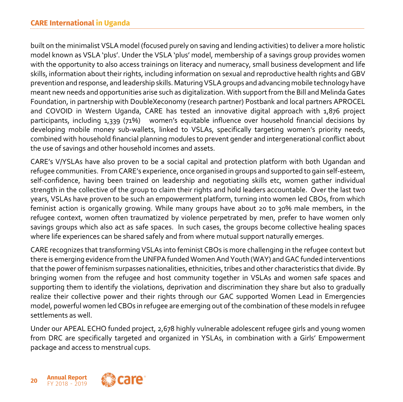built on the minimalist VSLA model (focused purely on saving and lending activities) to deliver a more holistic model known as VSLA 'plus'. Under the VSLA 'plus' model, membership of a savings group provides women with the opportunity to also access trainings on literacy and numeracy, small business development and life skills, information about their rights, including information on sexual and reproductive health rights and GBV prevention and response, and leadership skills. Maturing VSLA groups and advancing mobile technology have meant new needs and opportunities arise such as digitalization. With support from the Bill and Melinda Gates Foundation, in partnership with DoubleXeconomy (research partner) Postbank and local partners APROCEL and COVOID in Western Uganda, CARE has tested an innovative digital approach with 1,876 project participants, including 1,339 (71%) women's equitable influence over household financial decisions by developing mobile money sub-wallets, linked to VSLAs, specifically targeting women's priority needs, combined with household financial planning modules to prevent gender and intergenerational conflict about the use of savings and other household incomes and assets.

CARE's V/YSLAs have also proven to be a social capital and protection platform with both Ugandan and refugee communities. From CARE's experience, once organised in groups and supported to gain self-esteem, self-confidence, having been trained on leadership and negotiating skills etc, women gather individual strength in the collective of the group to claim their rights and hold leaders accountable. Over the last two years, VSLAs have proven to be such an empowerment platform, turning into women led CBOs, from which feminist action is organically growing. While many groups have about 20 to 30% male members, in the refugee context, women often traumatized by violence perpetrated by men, prefer to have women only savings groups which also act as safe spaces. In such cases, the groups become collective healing spaces where life experiences can be shared safely and from where mutual support naturally emerges.

CARE recognizes that transforming VSLAs into feminist CBOs is more challenging in the refugee context but there is emerging evidence from the UNFPA funded Women And Youth (WAY) and GAC funded interventions that the power of feminism surpasses nationalities, ethnicities, tribes and other characteristics that divide. By bringing women from the refugee and host community together in VSLAs and women safe spaces and supporting them to identify the violations, deprivation and discrimination they share but also to gradually realize their collective power and their rights through our GAC supported Women Lead in Emergencies model, powerful women led CBOs in refugee are emerging out of the combination of these models in refugee settlements as well.

Under our APEAL ECHO funded project, 2,678 highly vulnerable adolescent refugee girls and young women from DRC are specifically targeted and organized in YSLAs, in combination with a Girls' Empowerment package and access to menstrual cups.

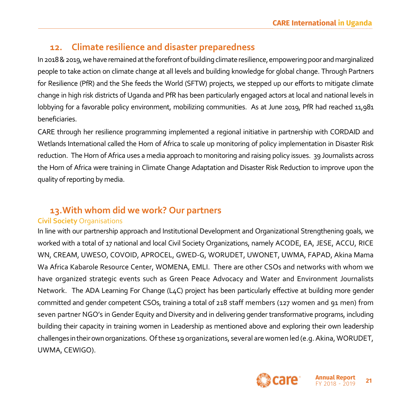## **12. Climate resilience and disaster preparedness**

In 2018 & 2019, we have remained at the forefront of building climate resilience, empowering poor and marginalized people to take action on climate change at all levels and building knowledge for global change. Through Partners for Resilience (PfR) and the She feeds the World (SFTW) projects, we stepped up our efforts to mitigate climate change in high risk districts of Uganda and PfR has been particularly engaged actors at local and national levels in lobbying for a favorable policy environment, mobilizing communities. As at June 2019, PfR had reached 11,981 beneficiaries.

CARE through her resilience programming implemented a regional initiative in partnership with CORDAID and Wetlands International called the Horn of Africa to scale up monitoring of policy implementation in Disaster Risk reduction. The Horn of Africa uses a media approach to monitoring and raising policy issues. 39 Journalists across the Horn of Africa were training in Climate Change Adaptation and Disaster Risk Reduction to improve upon the quality of reporting by media.

## **13.With whom did we work? Our partners**

#### **Civil Society** Organisations

In line with our partnership approach and Institutional Development and Organizational Strengthening goals, we worked with a total of 17 national and local Civil Society Organizations, namely ACODE, EA, JESE, ACCU, RICE WN, CREAM, UWESO, COVOID, APROCEL, GWED-G, WORUDET, UWONET, UWMA, FAPAD, Akina Mama Wa Africa Kabarole Resource Center, WOMENA, EMLI. There are other CSOs and networks with whom we have organized strategic events such as Green Peace Advocacy and Water and Environment Journalists Network. The ADA Learning For Change (L4C) project has been particularly effective at building more gender committed and gender competent CSOs, training a total of 218 staff members (127 women and 91 men) from seven partner NGO's in Gender Equity and Diversity and in delivering gender transformative programs, including building their capacity in training women in Leadership as mentioned above and exploring their own leadership challenges in their own organizations. Of these 19 organizations, several are women led (e.g. Akina, WORUDET, UWMA, CEWIGO).

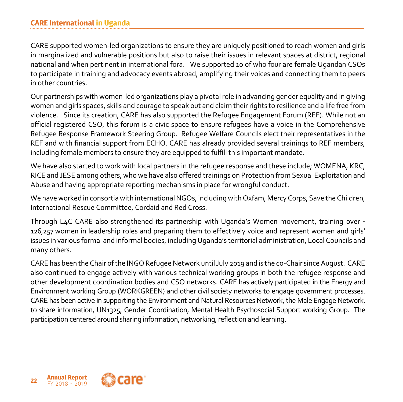#### **CARE International in Uganda**

CARE supported women-led organizations to ensure they are uniquely positioned to reach women and girls in marginalized and vulnerable positions but also to raise their issues in relevant spaces at district, regional national and when pertinent in international fora. We supported 10 of who four are female Ugandan CSOs to participate in training and advocacy events abroad, amplifying their voices and connecting them to peers in other countries.

Our partnerships with women-led organizations play a pivotal role in advancing gender equality and in giving women and girls spaces, skills and courage to speak out and claim their rights to resilience and a life free from violence. Since its creation, CARE has also supported the Refugee Engagement Forum (REF). While not an official registered CSO, this forum is a civic space to ensure refugees have a voice in the Comprehensive Refugee Response Framework Steering Group. Refugee Welfare Councils elect their representatives in the REF and with financial support from ECHO, CARE has already provided several trainings to REF members, including female members to ensure they are equipped to fulfill this important mandate.

We have also started to work with local partners in the refugee response and these include; WOMENA, KRC, RICE and JESE among others, who we have also offered trainings on Protection from Sexual Exploitation and Abuse and having appropriate reporting mechanisms in place for wrongful conduct.

We have worked in consortia with international NGOs, including with Oxfam, Mercy Corps, Save the Children, International Rescue Committee, Cordaid and Red Cross.

Through L4C CARE also strengthened its partnership with Uganda's Women movement, training over - 126,257 women in leadership roles and preparing them to effectively voice and represent women and girls' issues in various formal and informal bodies, including Uganda's territorial administration, Local Councils and many others.

CARE has been the Chair of the INGO Refugee Network until July 2019 and is the co-Chair since August. CARE also continued to engage actively with various technical working groups in both the refugee response and other development coordination bodies and CSO networks. CARE has actively participated in the Energy and Environment working Group (WORKGREEN) and other civil society networks to engage government processes. CARE has been active in supporting the Environment and Natural Resources Network, the Male Engage Network, to share information, UN1325, Gender Coordination, Mental Health Psychosocial Support working Group. The participation centered around sharing information, networking, reflection and learning.

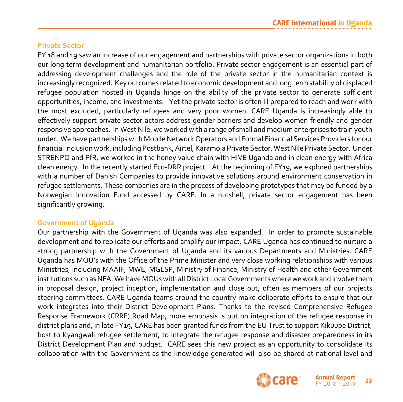#### **Private Sector**

FY 18 and 19 saw an increase of our engagement and partnerships with private sector organizations in both our long term development and humanitarian portfolio. Private sector engagement is an essential part of addressing development challenges and the role of the private sector in the humanitarian context is increasingly recognized. Key outcomes related to economic development and long term stability of displaced refugee population hosted in Uganda hinge on the ability of the private sector to generate sufficient opportunities, income, and investments. Yet the private sector is often ill prepared to reach and work with the most excluded, particularly refugees and very poor women. CARE Uganda is increasingly able to effectively support private sector actors address gender barriers and develop women friendly and gender responsive approaches. In West Nile, we worked with a range of small and medium enterprises to train youth under. We have partnerships with Mobile Network Operators and Formal Financial Services Providers for our financial inclusion work, including Postbank, Airtel, Karamoja Private Sector, West Nile Private Sector. Under STRENPO and PfR, we worked in the honey value chain with HIVE Uganda and in clean energy with Africa clean energy. In the recently started Eco-DRR project. At the beginning of FY19, we explored partnerships with a number of Danish Companies to provide innovative solutions around environment conservation in refugee settlements. These companies are in the process of developing prototypes that may be funded by a Norwegian Innovation Fund accessed by CARE. In a nutshell, private sector engagement has been significantly growing.

#### **Government of Uganda**

Our partnership with the Government of Uganda was also expanded. In order to promote sustainable development and to replicate our efforts and amplify our impact, CARE Uganda has continued to nurture a strong partnership with the Government of Uganda and its various Departments and Ministries. CARE Uganda has MOU's with the Office of the Prime Minister and very close working relationships with various Ministries, including MAAIF, MWE, MGLSP, Ministry of Finance, Ministry of Health and other Government institutions such as NFA. We have MOUs with all District Local Governments where we work and involve them in proposal design, project inception, implementation and close out, often as members of our projects steering committees. CARE Uganda teams around the country make deliberate efforts to ensure that our work integrates into their District Development Plans. Thanks to the revised Comprehensive Refugee Response Framework (CRRF) Road Map, more emphasis is put on integration of the refugee response in district plans and, in late FY19, CARE has been granted funds from the EU Trust to support Kikuube District, host to Kyangwali refugee settlement, to integrate the refugee response and disaster preparedness in its District Development Plan and budget. CARE sees this new project as an opportunity to consolidate its collaboration with the Government as the knowledge generated will also be shared at national level and

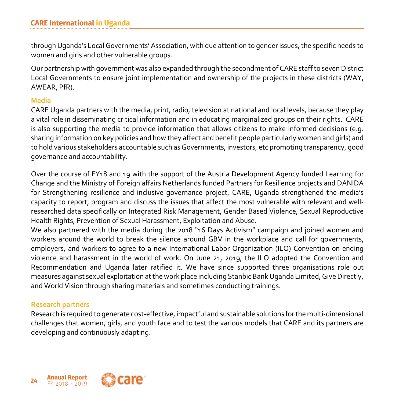through Uganda's Local Governments' Association, with due attention to gender issues, the specific needs to women and girls and other vulnerable groups.

Our partnership with government was also expanded through the secondment of CARE staff to seven District Local Governments to ensure joint implementation and ownership of the projects in these districts (WAY, AWEAR, PfR).

#### **Media**

CARE Uganda partners with the media, print, radio, television at national and local levels, because they play a vital role in disseminating critical information and in educating marginalized groups on their rights. CARE is also supporting the media to provide information that allows citizens to make informed decisions (e.g. sharing information on key policies and how they affect and benefit people particularly women and girls) and to hold various stakeholders accountable such as Governments, investors, etc promoting transparency, good governance and accountability.

Over the course of FY18 and 19 with the support of the Austria Development Agency funded Learning for Change and the Ministry of Foreign affairs Netherlands funded Partners for Resilience projects and DANIDA for Strengthening resilience and inclusive governance project, CARE, Uganda strengthened the media's capacity to report, program and discuss the issues that affect the most vulnerable with relevant and wellresearched data specifically on Integrated Risk Management, Gender Based Violence, Sexual Reproductive Health Rights, Prevention of Sexual Harassment, Exploitation and Abuse.

We also partnered with the media during the 2018 "16 Days Activism" campaign and joined women and workers around the world to break the silence around GBV in the workplace and call for governments, employers, and workers to agree to a new International Labor Organization (ILO) Convention on ending violence and harassment in the world of work. On June 21, 2019, the ILO adopted the Convention and Recommendation and Uganda later ratified it. We have since supported three organisations role out measures against sexual exploitation at the work place including Stanbic Bank Uganda Limited, Give Directly, and World Vision through sharing materials and sometimes conducting trainings.

#### **Research partners**

Research is required to generate cost-effective, impactful and sustainable solutions for the multi-dimensional challenges that women, girls, and youth face and to test the various models that CARE and its partners are developing and continuously adapting.

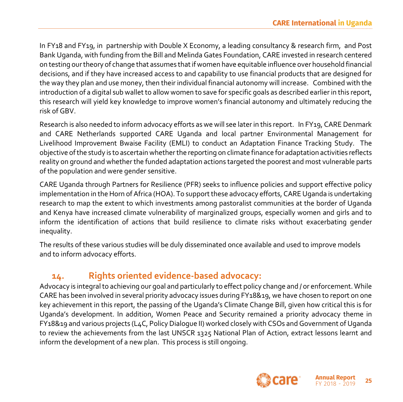In FY18 and FY19, in partnership with Double X Economy, a leading consultancy & research firm, and Post Bank Uganda, with funding from the Bill and Melinda Gates Foundation, CARE invested in research centered on testing our theory of change that assumes that if women have equitable influence over household financial decisions, and if they have increased access to and capability to use financial products that are designed for the way they plan and use money, then their individual financial autonomy will increase. Combined with the introduction of a digital sub wallet to allow women to save for specific goals as described earlier in this report, this research will yield key knowledge to improve women's financial autonomy and ultimately reducing the risk of GBV.

Research is also needed to inform advocacy efforts as we will see later in this report. In FY19, CARE Denmark and CARE Netherlands supported CARE Uganda and local partner Environmental Management for Livelihood Improvement Bwaise Facility (EMLI) to conduct an Adaptation Finance Tracking Study. The objective of the study is to ascertain whether the reporting on climate finance for adaptation activities reflects reality on ground and whether the funded adaptation actions targeted the poorest and most vulnerable parts of the population and were gender sensitive.

CARE Uganda through Partners for Resilience (PFR) seeks to influence policies and support effective policy implementation in the Horn of Africa (HOA). To support these advocacy efforts, CARE Uganda is undertaking research to map the extent to which investments among pastoralist communities at the border of Uganda and Kenya have increased climate vulnerability of marginalized groups, especially women and girls and to inform the identification of actions that build resilience to climate risks without exacerbating gender inequality.

The results of these various studies will be duly disseminated once available and used to improve models and to inform advocacy efforts.

## **14. Rights oriented evidence-based advocacy:**

Advocacy is integral to achieving our goal and particularly to effect policy change and / or enforcement. While CARE has been involved in several priority advocacy issues during FY18&19, we have chosen to report on one key achievement in this report, the passing of the Uganda's Climate Change Bill, given how critical this is for Uganda's development. In addition, Women Peace and Security remained a priority advocacy theme in FY18&19 and various projects (L4C, Policy Dialogue II) worked closely with CSOs and Government of Uganda to review the achievements from the last UNSCR 1325 National Plan of Action, extract lessons learnt and inform the development of a new plan. This process is still ongoing.



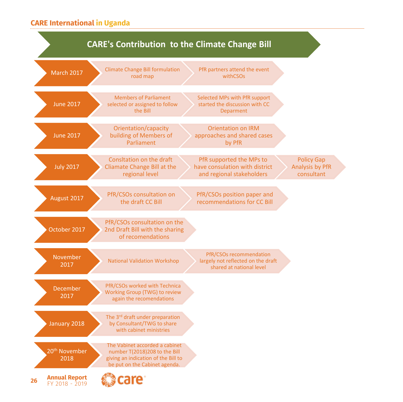#### **CARE International in Uganda**

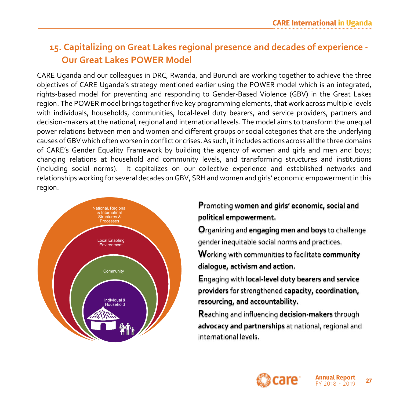## **15. Capitalizing on Great Lakes regional presence and decades of experience - Our Great Lakes POWER Model**

CARE Uganda and our colleagues in DRC, Rwanda, and Burundi are working together to achieve the three objectives of CARE Uganda's strategy mentioned earlier using the POWER model which is an integrated, rights-based model for preventing and responding to Gender-Based Violence (GBV) in the Great Lakes region. The POWER model brings together five key programming elements, that work across multiple levels with individuals, households, communities, local-level duty bearers, and service providers, partners and decision-makers at the national, regional and international levels. The model aims to transform the unequal power relations between men and women and different groups or social categories that are the underlying causes of GBV which often worsen in conflict or crises. As such, it includes actions across all the three domains of CARE's Gender Equality Framework by building the agency of women and girls and men and boys; changing relations at household and community levels, and transforming structures and institutions (including social norms). It capitalizes on our collective experience and established networks and relationships working for several decades on GBV, SRH and women and girls' economic empowerment in this region.



## **P**romoting **women and girls' economic, social and political empowerment.**

**O**rganizing and **engaging men and boys** to challenge gender inequitable social norms and practices.

**W**orking with communities to facilitate **community dialogue, activism and action.**

**E**ngaging with **local-level duty bearers and service providers** for strengthened **capacity, coordination, resourcing, and accountability.**

**R**eaching and influencing **decision-makers** through **advocacy and partnerships** at national, regional and international levels.

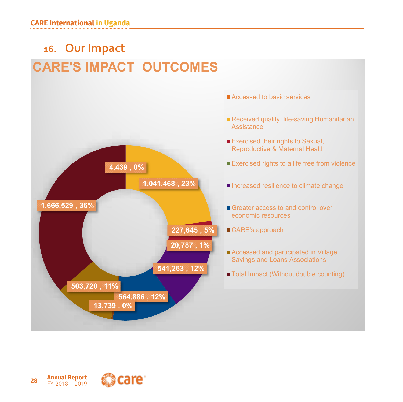

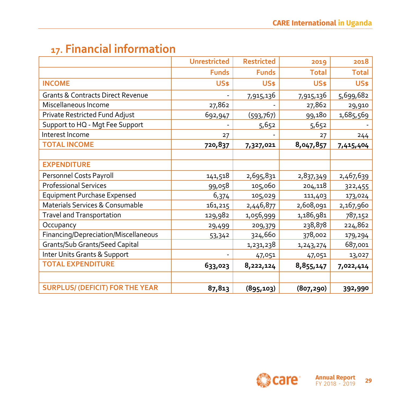# **17. Financial information**

|                                              | <b>Unrestricted</b> | <b>Restricted</b> | 2019         | 2018         |
|----------------------------------------------|---------------------|-------------------|--------------|--------------|
|                                              | <b>Funds</b>        | <b>Funds</b>      | <b>Total</b> | <b>Total</b> |
| <b>INCOME</b>                                | <b>US\$</b>         | <b>US\$</b>       | <b>US\$</b>  | US\$         |
| <b>Grants &amp; Contracts Direct Revenue</b> |                     | 7,915,136         | 7,915,136    | 5,699,682    |
| Miscellaneous Income                         | 27,862              |                   | 27,862       | 29,910       |
| Private Restricted Fund Adjust               | 692,947             | (593, 767)        | 99,180       | 1,685,569    |
| Support to HQ - Mgt Fee Support              |                     | 5,652             | 5,652        |              |
| Interest Income                              | 27                  |                   | 27           | 244          |
| <b>TOTAL INCOME</b>                          | 720,837             | 7,327,021         | 8,047,857    | 7,415,404    |
|                                              |                     |                   |              |              |
| <b>EXPENDITURE</b>                           |                     |                   |              |              |
| Personnel Costs Payroll                      | 141,518             | 2,695,831         | 2,837,349    | 2,467,639    |
| <b>Professional Services</b>                 | 99,058              | 105,060           | 204,118      | 322,455      |
| <b>Equipment Purchase Expensed</b>           | 6,374               | 105,029           | 111,403      | 173,024      |
| Materials Services & Consumable              | 161,215             | 2,446,877         | 2,608,091    | 2,167,960    |
| Travel and Transportation                    | 129,982             | 1,056,999         | 1,186,981    | 787,152      |
| Occupancy                                    | 29,499              | 209,379           | 238,878      | 224,862      |
| Financing/Depreciation/Miscellaneous         | 53,342              | 324,660           | 378,002      | 179,294      |
| Grants/Sub Grants/Seed Capital               |                     | 1,231,238         | 1, 243, 274  | 687,001      |
| Inter Units Grants & Support                 |                     | 47,051            | 47,051       | 13,027       |
| <b>TOTAL EXPENDITURE</b>                     | 633,023             | 8,222,124         | 8,855,147    | 7,022,414    |
|                                              |                     |                   |              |              |
| <b>SURPLUS/ (DEFICIT) FOR THE YEAR</b>       | 87,813              | (895, 103)        | (807, 290)   | 392,990      |

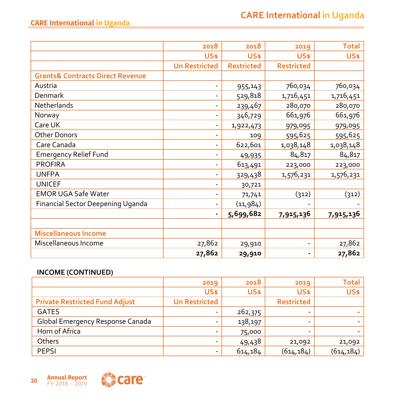|                                             | 2018                 | 2018              | 2019              | <b>Total</b> |
|---------------------------------------------|----------------------|-------------------|-------------------|--------------|
|                                             | <b>US\$</b>          | <b>US\$</b>       | <b>US\$</b>       | US\$         |
|                                             | <b>Un Restricted</b> | <b>Restricted</b> | <b>Restricted</b> |              |
| <b>Grants&amp; Contracts Direct Revenue</b> |                      |                   |                   |              |
| Austria                                     |                      | 955,143           | 760,034           | 760,034      |
| Denmark                                     |                      | 529,818           | 1,716,451         | 1,716,451    |
| Netherlands                                 |                      | 239,467           | 280,070           | 280,070      |
| Norway                                      |                      | 346,729           | 661,976           | 661,976      |
| Care UK                                     |                      | 1,922,473         | 979,095           | 979,095      |
| <b>Other Donors</b>                         |                      | 109               | 595,625           | 595,625      |
| Care Canada                                 |                      | 622,601           | 1,038,148         | 1,038,148    |
| <b>Emergency Relief Fund</b>                |                      | 49,935            | 84,817            | 84,817       |
| <b>PROFIRA</b>                              |                      | 613,491           | 223,000           | 223,000      |
| <b>UNFPA</b>                                |                      | 329,438           | 1,576,231         | 1,576,231    |
| <b>UNICEF</b>                               |                      | 30,721            |                   |              |
| <b>EMOR UGA Safe Water</b>                  |                      | 71,741            | (312)             | (312)        |
| <b>Financial Sector Deepening Uganda</b>    |                      | (11,984)          |                   |              |
|                                             |                      | 5,699,682         | 7,915,136         | 7,915,136    |
|                                             |                      |                   |                   |              |
| <b>Miscellaneous Income</b>                 |                      |                   |                   |              |
| Miscellaneous Income                        | 27,862               | 29,910            |                   | 27,862       |
|                                             | 27,862               | 29,910            | $\blacksquare$    | 27,862       |

#### **INCOME (CONTINUED)**

|                                       | 2019                 | 2018    | 2019              | Total       |
|---------------------------------------|----------------------|---------|-------------------|-------------|
|                                       | US\$                 | US\$    | US\$              | <b>US\$</b> |
| <b>Private Restricted Fund Adjust</b> | <b>Un Restricted</b> |         | <b>Restricted</b> |             |
| <b>GATES</b>                          |                      | 262,375 |                   |             |
| Global Emergency Response Canada      | -                    | 138,197 | -                 |             |
| Horn of Africa                        |                      | 75,000  |                   |             |
| Others                                |                      | 49,438  | 21,092            | 21,092      |
| <b>PEPSI</b>                          |                      | 614,184 | (614, 184)        | (614, 184)  |

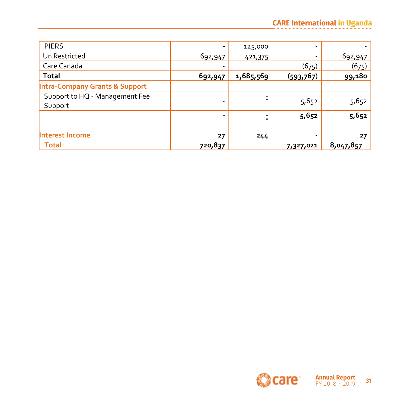| <b>PIERS</b>                              |         | 125,000   | $\overline{\phantom{a}}$ |           |
|-------------------------------------------|---------|-----------|--------------------------|-----------|
| Un Restricted                             | 692,947 | 421,375   | ۰                        | 692,947   |
| Care Canada                               |         |           | (675)                    | (675)     |
| <b>Total</b>                              | 692,947 | 1,685,569 | (593, 767)               | 99,180    |
| <b>Intra-Company Grants &amp; Support</b> |         |           |                          |           |
| Support to HQ - Management Fee            |         |           | 5,652                    |           |
| Support                                   |         |           |                          | 5,652     |
|                                           | ٠       |           | 5,652                    | 5,652     |
|                                           |         |           |                          |           |
| Interest Income                           | 27      | 244       | ۰                        | 27        |
| <b>Total</b>                              | 720,837 |           | 7,327,021                | 8,047,857 |